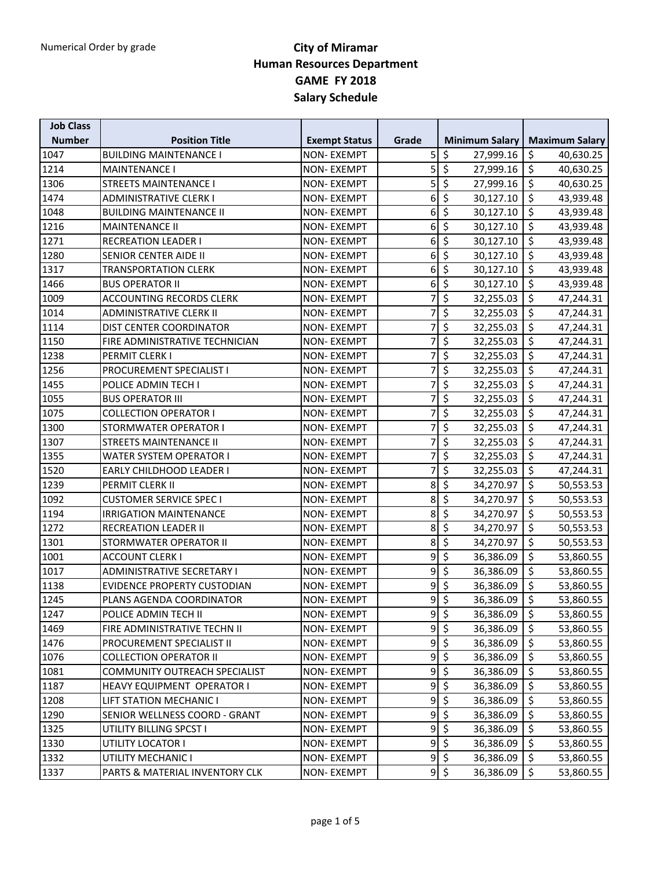| <b>Job Class</b> |                                    |                      |                |                                                  |                                       |
|------------------|------------------------------------|----------------------|----------------|--------------------------------------------------|---------------------------------------|
| <b>Number</b>    | <b>Position Title</b>              | <b>Exempt Status</b> | Grade          | <b>Minimum Salary</b>                            | <b>Maximum Salary</b>                 |
| 1047             | <b>BUILDING MAINTENANCE I</b>      | <b>NON-EXEMPT</b>    | 5              | \$<br>27,999.16                                  | \$<br>40,630.25                       |
| 1214             | <b>MAINTENANCE I</b>               | <b>NON-EXEMPT</b>    | 5              | $\overline{\xi}$<br>27,999.16                    | \$<br>40,630.25                       |
| 1306             | <b>STREETS MAINTENANCE I</b>       | <b>NON-EXEMPT</b>    | 5              | $\overline{\xi}$<br>27,999.16                    | \$<br>40,630.25                       |
| 1474             | ADMINISTRATIVE CLERK I             | <b>NON-EXEMPT</b>    | $6\vert$       | $\overline{\varsigma}$<br>30,127.10              | \$<br>43,939.48                       |
| 1048             | <b>BUILDING MAINTENANCE II</b>     | <b>NON-EXEMPT</b>    | 6              | $\overline{\xi}$<br>30,127.10                    | $\zeta$<br>43,939.48                  |
| 1216             | <b>MAINTENANCE II</b>              | <b>NON-EXEMPT</b>    | 6              | $\overline{\mathcal{S}}$<br>30,127.10            | \$<br>43,939.48                       |
| 1271             | <b>RECREATION LEADER I</b>         | <b>NON-EXEMPT</b>    | 6              | $\overline{\varsigma}$<br>30,127.10              | \$<br>43,939.48                       |
| 1280             | SENIOR CENTER AIDE II              | <b>NON-EXEMPT</b>    | $6 \mid$       | \$<br>30,127.10                                  | \$<br>43,939.48                       |
| 1317             | <b>TRANSPORTATION CLERK</b>        | <b>NON-EXEMPT</b>    | 6              | $\overline{\xi}$<br>30,127.10                    | \$<br>43,939.48                       |
| 1466             | <b>BUS OPERATOR II</b>             | <b>NON-EXEMPT</b>    | 6              | $\overline{\xi}$<br>30,127.10                    | \$<br>43,939.48                       |
| 1009             | <b>ACCOUNTING RECORDS CLERK</b>    | <b>NON-EXEMPT</b>    | 7              | $\overline{\varsigma}$<br>32,255.03              | \$<br>47,244.31                       |
| 1014             | ADMINISTRATIVE CLERK II            | <b>NON-EXEMPT</b>    | 7              | $\overline{\xi}$<br>32,255.03                    | \$<br>47,244.31                       |
| 1114             | DIST CENTER COORDINATOR            | <b>NON-EXEMPT</b>    | 7              | $\overline{\varsigma}$<br>32,255.03              | \$<br>47,244.31                       |
| 1150             | FIRE ADMINISTRATIVE TECHNICIAN     | <b>NON-EXEMPT</b>    | $\overline{7}$ | $\overline{\xi}$<br>32,255.03                    | \$<br>47,244.31                       |
| 1238             | PERMIT CLERK I                     | <b>NON-EXEMPT</b>    | 7              | $\overline{\varsigma}$<br>32,255.03              | \$<br>47,244.31                       |
| 1256             | PROCUREMENT SPECIALIST I           | <b>NON-EXEMPT</b>    | 7              | $\overline{\xi}$<br>32,255.03                    | \$<br>47,244.31                       |
| 1455             | POLICE ADMIN TECH I                | <b>NON-EXEMPT</b>    | 7              | \$<br>32,255.03                                  | \$<br>47,244.31                       |
| 1055             | <b>BUS OPERATOR III</b>            | <b>NON-EXEMPT</b>    | 7              | $\overline{\xi}$<br>32,255.03                    | \$<br>47,244.31                       |
| 1075             | <b>COLLECTION OPERATOR I</b>       | <b>NON-EXEMPT</b>    | 7              | $\overline{\varsigma}$<br>32,255.03              | \$<br>47,244.31                       |
| 1300             | STORMWATER OPERATOR I              | <b>NON-EXEMPT</b>    | 7              | \$<br>32,255.03                                  | \$<br>47,244.31                       |
| 1307             | <b>STREETS MAINTENANCE II</b>      | <b>NON-EXEMPT</b>    | 7              | $\overline{\varsigma}$<br>32,255.03              | \$<br>47,244.31                       |
| 1355             | WATER SYSTEM OPERATOR I            | <b>NON-EXEMPT</b>    | 7              | $\overline{\xi}$<br>32,255.03                    | \$<br>47,244.31                       |
| 1520             | EARLY CHILDHOOD LEADER I           | <b>NON-EXEMPT</b>    | 7              | $\overline{\xi}$<br>32,255.03                    | \$<br>47,244.31                       |
| 1239             | PERMIT CLERK II                    | <b>NON-EXEMPT</b>    | 8              | $\overline{\varsigma}$<br>34,270.97              | \$<br>50,553.53                       |
| 1092             | <b>CUSTOMER SERVICE SPEC I</b>     | <b>NON-EXEMPT</b>    | 8 <sup>1</sup> | $\overline{\xi}$<br>34,270.97                    | \$<br>50,553.53                       |
| 1194             | <b>IRRIGATION MAINTENANCE</b>      | <b>NON-EXEMPT</b>    | 8              | $\overline{\xi}$<br>34,270.97                    | \$<br>50,553.53                       |
| 1272             | <b>RECREATION LEADER II</b>        | <b>NON-EXEMPT</b>    | 8              | $\overline{\xi}$<br>34,270.97                    | \$<br>50,553.53                       |
| 1301             | STORMWATER OPERATOR II             | <b>NON-EXEMPT</b>    | 8              | $\overline{\xi}$<br>34,270.97                    | \$<br>50,553.53                       |
| 1001             | <b>ACCOUNT CLERK I</b>             | <b>NON-EXEMPT</b>    | 9              | $\overline{\xi}$<br>36,386.09                    | \$<br>53,860.55                       |
| 1017             | <b>ADMINISTRATIVE SECRETARY I</b>  | <b>NON-EXEMPT</b>    | 9              | $\overline{\xi}$<br>36,386.09                    | \$<br>53,860.55                       |
| 1138             | <b>EVIDENCE PROPERTY CUSTODIAN</b> | <b>NON-EXEMPT</b>    | $\overline{9}$ | $\overline{\xi}$<br>36,386.09                    | \$<br>53,860.55                       |
| 1245             | PLANS AGENDA COORDINATOR           | <b>NON-EXEMPT</b>    | $\overline{9}$ | $\overline{\xi}$<br>36,386.09                    | \$<br>53,860.55                       |
| 1247             | POLICE ADMIN TECH II               | <b>NON-EXEMPT</b>    |                | $9 \zeta$<br>36,386.09                           | $\overline{\phantom{a}}$<br>53,860.55 |
| 1469             | FIRE ADMINISTRATIVE TECHN II       | <b>NON-EXEMPT</b>    | 9              | $\boldsymbol{\zeta}$<br>36,386.09                | \$<br>53,860.55                       |
| 1476             | PROCUREMENT SPECIALIST II          | NON-EXEMPT           |                | $9 \overline{\smash{\big\vert}}\xi$<br>36,386.09 | \$<br>53,860.55                       |
| 1076             | <b>COLLECTION OPERATOR II</b>      | <b>NON-EXEMPT</b>    |                | $9\overline{5}$<br>36,386.09                     | \$<br>53,860.55                       |
| 1081             | COMMUNITY OUTREACH SPECIALIST      | <b>NON-EXEMPT</b>    | 9              | $\overline{\mathcal{S}}$<br>36,386.09            | \$<br>53,860.55                       |
| 1187             | HEAVY EQUIPMENT OPERATOR I         | NON-EXEMPT           | $\overline{9}$ | $\overline{\xi}$<br>36,386.09                    | \$<br>53,860.55                       |
| 1208             | LIFT STATION MECHANIC I            | NON-EXEMPT           | $\overline{9}$ | $\overline{\mathcal{S}}$<br>36,386.09            | \$<br>53,860.55                       |
| 1290             | SENIOR WELLNESS COORD - GRANT      | NON-EXEMPT           | $\overline{9}$ | $\overline{\xi}$<br>36,386.09                    | \$<br>53,860.55                       |
| 1325             | UTILITY BILLING SPCST I            | <b>NON-EXEMPT</b>    |                | $9\overline{5}$<br>36,386.09                     | \$<br>53,860.55                       |
| 1330             | UTILITY LOCATOR I                  | <b>NON-EXEMPT</b>    |                | $9 \mid 5$<br>36,386.09                          | \$<br>53,860.55                       |
| 1332             | UTILITY MECHANIC I                 | <b>NON-EXEMPT</b>    |                | $9 \mid 5$<br>36,386.09                          | \$<br>53,860.55                       |
| 1337             | PARTS & MATERIAL INVENTORY CLK     | <b>NON-EXEMPT</b>    |                | $9$ \$<br>36,386.09                              | \$<br>53,860.55                       |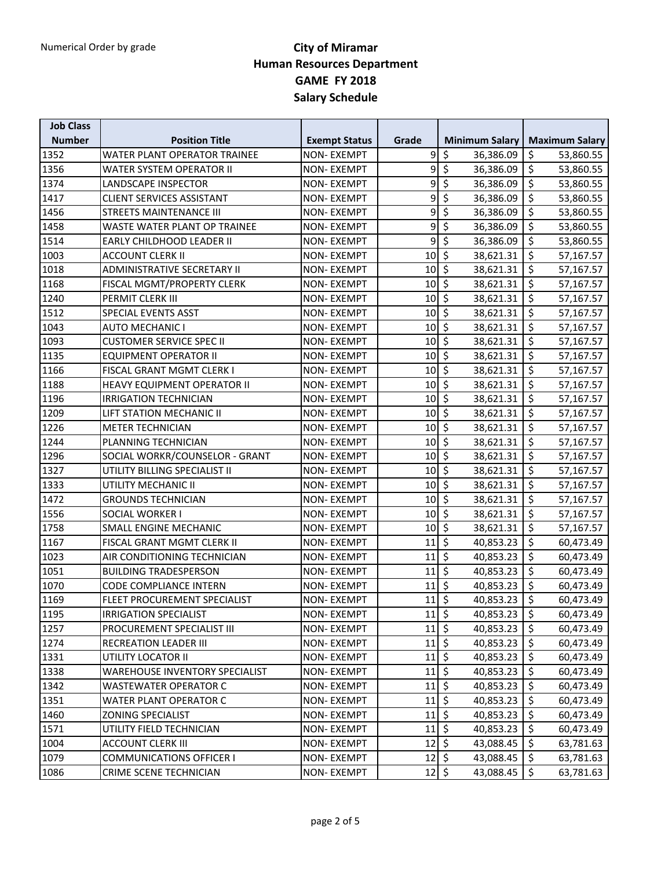| <b>Job Class</b> |                                       |                      |                                       |                                       |                       |
|------------------|---------------------------------------|----------------------|---------------------------------------|---------------------------------------|-----------------------|
| <b>Number</b>    | <b>Position Title</b>                 | <b>Exempt Status</b> | Grade                                 | <b>Minimum Salary</b>                 | <b>Maximum Salary</b> |
| 1352             | WATER PLANT OPERATOR TRAINEE          | <b>NON-EXEMPT</b>    | 9                                     | \$<br>36,386.09                       | \$<br>53,860.55       |
| 1356             | WATER SYSTEM OPERATOR II              | <b>NON-EXEMPT</b>    | 9                                     | $\overline{\varsigma}$<br>36,386.09   | \$<br>53,860.55       |
| 1374             | LANDSCAPE INSPECTOR                   | <b>NON-EXEMPT</b>    | 9                                     | $\overline{\xi}$<br>36,386.09         | \$<br>53,860.55       |
| 1417             | <b>CLIENT SERVICES ASSISTANT</b>      | <b>NON-EXEMPT</b>    | 9                                     | \$<br>36,386.09                       | \$<br>53,860.55       |
| 1456             | <b>STREETS MAINTENANCE III</b>        | <b>NON-EXEMPT</b>    | $\overline{9}$                        | $\overline{\mathcal{S}}$<br>36,386.09 | \$<br>53,860.55       |
| 1458             | WASTE WATER PLANT OP TRAINEE          | <b>NON-EXEMPT</b>    | 9                                     | $\overline{\xi}$<br>36,386.09         | \$<br>53,860.55       |
| 1514             | <b>EARLY CHILDHOOD LEADER II</b>      | <b>NON-EXEMPT</b>    | 9                                     | \$<br>36,386.09                       | \$<br>53,860.55       |
| 1003             | <b>ACCOUNT CLERK II</b>               | <b>NON-EXEMPT</b>    | $10\,$                                | $\overline{\xi}$<br>38,621.31         | \$<br>57,167.57       |
| 1018             | <b>ADMINISTRATIVE SECRETARY II</b>    | <b>NON-EXEMPT</b>    | 10                                    | $\overline{\mathcal{S}}$<br>38,621.31 | \$<br>57,167.57       |
| 1168             | FISCAL MGMT/PROPERTY CLERK            | <b>NON-EXEMPT</b>    | 10                                    | $\overline{\xi}$<br>38,621.31         | \$<br>57,167.57       |
| 1240             | PERMIT CLERK III                      | <b>NON-EXEMPT</b>    | 10                                    | $\overline{\xi}$<br>38,621.31         | \$<br>57,167.57       |
| 1512             | SPECIAL EVENTS ASST                   | <b>NON-EXEMPT</b>    | 10                                    | $\overline{\mathcal{S}}$<br>38,621.31 | \$<br>57,167.57       |
| 1043             | <b>AUTO MECHANIC I</b>                | <b>NON-EXEMPT</b>    | 10                                    | $\overline{\mathcal{S}}$<br>38,621.31 | \$<br>57,167.57       |
| 1093             | <b>CUSTOMER SERVICE SPEC II</b>       | <b>NON-EXEMPT</b>    | 10                                    | $\overline{\varsigma}$<br>38,621.31   | \$<br>57,167.57       |
| 1135             | <b>EQUIPMENT OPERATOR II</b>          | <b>NON-EXEMPT</b>    | 10                                    | $\zeta$<br>38,621.31                  | \$<br>57,167.57       |
| 1166             | FISCAL GRANT MGMT CLERK I             | <b>NON-EXEMPT</b>    | 10                                    | $\zeta$<br>38,621.31                  | \$<br>57,167.57       |
| 1188             | HEAVY EQUIPMENT OPERATOR II           | <b>NON-EXEMPT</b>    | 10                                    | $\overline{\xi}$<br>38,621.31         | \$<br>57,167.57       |
| 1196             | <b>IRRIGATION TECHNICIAN</b>          | <b>NON-EXEMPT</b>    | 10                                    | $\overline{\mathcal{S}}$<br>38,621.31 | \$<br>57,167.57       |
| 1209             | LIFT STATION MECHANIC II              | <b>NON-EXEMPT</b>    | 10                                    | $\overline{\mathcal{S}}$<br>38,621.31 | \$<br>57,167.57       |
| 1226             | <b>METER TECHNICIAN</b>               | <b>NON-EXEMPT</b>    | 10                                    | $\overline{\mathcal{S}}$<br>38,621.31 | \$<br>57,167.57       |
| 1244             | PLANNING TECHNICIAN                   | <b>NON-EXEMPT</b>    | 10                                    | $\zeta$<br>38,621.31                  | \$<br>57,167.57       |
| 1296             | SOCIAL WORKR/COUNSELOR - GRANT        | <b>NON-EXEMPT</b>    | 10                                    | $\overline{\varsigma}$<br>38,621.31   | $\zeta$<br>57,167.57  |
| 1327             | UTILITY BILLING SPECIALIST II         | <b>NON-EXEMPT</b>    | 10                                    | $\overline{\mathcal{S}}$<br>38,621.31 | \$<br>57,167.57       |
| 1333             | UTILITY MECHANIC II                   | <b>NON-EXEMPT</b>    | 10                                    | $\overline{\mathcal{S}}$<br>38,621.31 | \$<br>57,167.57       |
| 1472             | <b>GROUNDS TECHNICIAN</b>             | <b>NON-EXEMPT</b>    | 10                                    | $\overline{\mathcal{S}}$<br>38,621.31 | \$<br>57,167.57       |
| 1556             | SOCIAL WORKER I                       | <b>NON-EXEMPT</b>    | 10                                    | $\overline{\mathcal{S}}$<br>38,621.31 | \$<br>57,167.57       |
| 1758             | SMALL ENGINE MECHANIC                 | <b>NON-EXEMPT</b>    | 10                                    | $\overline{\mathcal{S}}$<br>38,621.31 | \$<br>57,167.57       |
| 1167             | FISCAL GRANT MGMT CLERK II            | <b>NON-EXEMPT</b>    | 11                                    | $\overline{\xi}$<br>40,853.23         | $\zeta$<br>60,473.49  |
| 1023             | AIR CONDITIONING TECHNICIAN           | <b>NON-EXEMPT</b>    | 11                                    | \$<br>40,853.23                       | \$<br>60,473.49       |
| 1051             | <b>BUILDING TRADESPERSON</b>          | <b>NON-EXEMPT</b>    | 11                                    | $\overline{\mathcal{S}}$<br>40,853.23 | \$<br>60,473.49       |
| 1070             | <b>CODE COMPLIANCE INTERN</b>         | <b>NON-EXEMPT</b>    | 11                                    | $\overline{\mathcal{S}}$<br>40,853.23 | \$<br>60,473.49       |
| 1169             | FLEET PROCUREMENT SPECIALIST          | <b>NON-EXEMPT</b>    | $11\overline{\ }$ \$                  | 40,853.23                             | \$<br>60,473.49       |
| 1195             | <b>IRRIGATION SPECIALIST</b>          | NON-EXEMPT           | $11\overline{\zeta}$                  | $40,853.23$ \$                        | 60,473.49             |
| 1257             | PROCUREMENT SPECIALIST III            | <b>NON-EXEMPT</b>    | $11 \,$ \$                            | 40,853.23                             | $\zeta$<br>60,473.49  |
| 1274             | RECREATION LEADER III                 | <b>NON-EXEMPT</b>    | $11\frac{1}{5}$                       | 40,853.23                             | \$<br>60,473.49       |
| 1331             | UTILITY LOCATOR II                    | NON-EXEMPT           | $11 \,$ \$                            | 40,853.23                             | \$<br>60,473.49       |
| 1338             | <b>WAREHOUSE INVENTORY SPECIALIST</b> | <b>NON-EXEMPT</b>    | $11\overline{\smash{\big\vert}}\,$ \$ | 40,853.23                             | \$<br>60,473.49       |
| 1342             | WASTEWATER OPERATOR C                 | <b>NON-EXEMPT</b>    | $11\overline{\smash{\big\vert}}\,$ \$ | 40,853.23                             | \$<br>60,473.49       |
| 1351             | WATER PLANT OPERATOR C                | NON-EXEMPT           | $11\frac{1}{5}$                       | 40,853.23                             | $\zeta$<br>60,473.49  |
| 1460             | ZONING SPECIALIST                     | <b>NON-EXEMPT</b>    | 11                                    | $\zeta$<br>40,853.23                  | \$<br>60,473.49       |
| 1571             | UTILITY FIELD TECHNICIAN              | NON-EXEMPT           | $11\overline{\phantom{0}}$            | 40,853.23                             | \$<br>60,473.49       |
| 1004             | <b>ACCOUNT CLERK III</b>              | <b>NON-EXEMPT</b>    | $12\overline{5}$                      | 43,088.45                             | \$<br>63,781.63       |
| 1079             | <b>COMMUNICATIONS OFFICER I</b>       | NON-EXEMPT           | $12\overline{\phantom{a}}$ \$         | 43,088.45                             | \$<br>63,781.63       |
| 1086             | CRIME SCENE TECHNICIAN                | <b>NON-EXEMPT</b>    | $12\sqrt{5}$                          | 43,088.45                             | \$<br>63,781.63       |
|                  |                                       |                      |                                       |                                       |                       |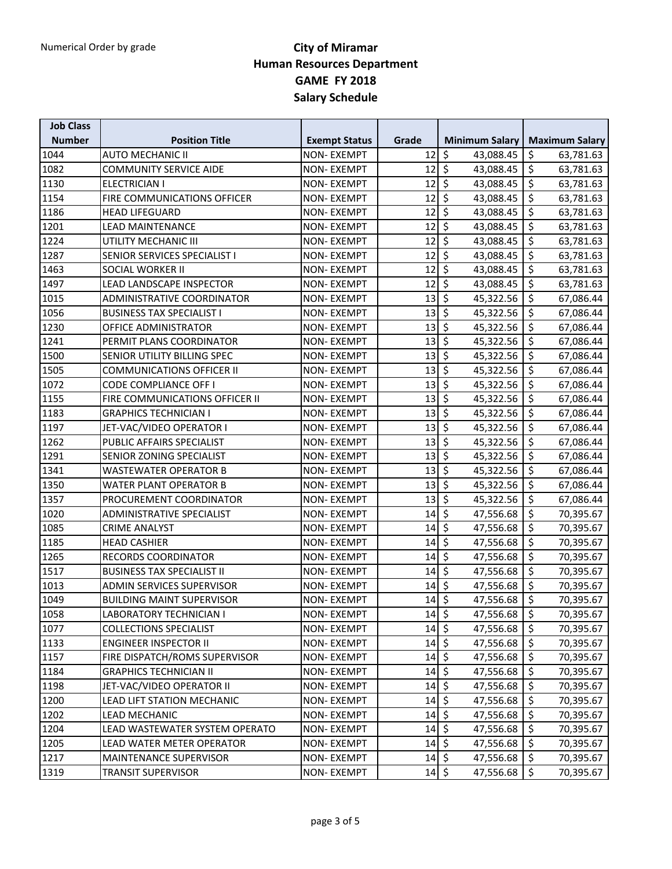| <b>Job Class</b> |                                    |                      |                              |                                       |                       |
|------------------|------------------------------------|----------------------|------------------------------|---------------------------------------|-----------------------|
| <b>Number</b>    | <b>Position Title</b>              | <b>Exempt Status</b> | Grade                        | <b>Minimum Salary</b>                 | <b>Maximum Salary</b> |
| 1044             | <b>AUTO MECHANIC II</b>            | <b>NON-EXEMPT</b>    | 12                           | \$<br>43,088.45                       | \$<br>63,781.63       |
| 1082             | <b>COMMUNITY SERVICE AIDE</b>      | <b>NON-EXEMPT</b>    | 12                           | \$<br>43,088.45                       | \$<br>63,781.63       |
| 1130             | <b>ELECTRICIAN I</b>               | <b>NON-EXEMPT</b>    | 12                           | $\overline{\mathcal{S}}$<br>43,088.45 | \$<br>63,781.63       |
| 1154             | <b>FIRE COMMUNICATIONS OFFICER</b> | <b>NON-EXEMPT</b>    | 12                           | $\overline{\mathcal{S}}$<br>43,088.45 | \$<br>63,781.63       |
| 1186             | <b>HEAD LIFEGUARD</b>              | <b>NON-EXEMPT</b>    | 12                           | $\overline{\xi}$<br>43,088.45         | \$<br>63,781.63       |
| 1201             | <b>LEAD MAINTENANCE</b>            | <b>NON-EXEMPT</b>    | 12                           | $\overline{\xi}$<br>43,088.45         | \$<br>63,781.63       |
| 1224             | UTILITY MECHANIC III               | <b>NON-EXEMPT</b>    | 12                           | $\overline{\mathcal{S}}$<br>43,088.45 | \$<br>63,781.63       |
| 1287             | SENIOR SERVICES SPECIALIST I       | <b>NON-EXEMPT</b>    | 12                           | $\overline{\mathcal{S}}$<br>43,088.45 | \$<br>63,781.63       |
| 1463             | SOCIAL WORKER II                   | <b>NON-EXEMPT</b>    | 12                           | $\overline{\mathcal{S}}$<br>43,088.45 | \$<br>63,781.63       |
| 1497             | LEAD LANDSCAPE INSPECTOR           | <b>NON-EXEMPT</b>    | 12                           | $\overline{\xi}$<br>43,088.45         | \$<br>63,781.63       |
| 1015             | ADMINISTRATIVE COORDINATOR         | <b>NON-EXEMPT</b>    | 13                           | $\overline{\xi}$<br>45,322.56         | \$<br>67,086.44       |
| 1056             | <b>BUSINESS TAX SPECIALIST I</b>   | <b>NON-EXEMPT</b>    | 13                           | $\overline{\varsigma}$<br>45,322.56   | \$<br>67,086.44       |
| 1230             | OFFICE ADMINISTRATOR               | <b>NON-EXEMPT</b>    | 13                           | $\overline{\mathcal{S}}$<br>45,322.56 | \$<br>67,086.44       |
| 1241             | PERMIT PLANS COORDINATOR           | <b>NON-EXEMPT</b>    | 13                           | $\zeta$<br>45,322.56                  | \$<br>67,086.44       |
| 1500             | SENIOR UTILITY BILLING SPEC        | <b>NON-EXEMPT</b>    | 13                           | $\overline{\mathcal{S}}$<br>45,322.56 | \$<br>67,086.44       |
| 1505             | <b>COMMUNICATIONS OFFICER II</b>   | <b>NON-EXEMPT</b>    | 13                           | $\overline{\xi}$<br>45,322.56         | \$<br>67,086.44       |
| 1072             | <b>CODE COMPLIANCE OFF I</b>       | <b>NON-EXEMPT</b>    | 13                           | \$<br>45,322.56                       | \$<br>67,086.44       |
| 1155             | FIRE COMMUNICATIONS OFFICER II     | <b>NON-EXEMPT</b>    | 13                           | $\overline{\xi}$<br>45,322.56         | \$<br>67,086.44       |
| 1183             | <b>GRAPHICS TECHNICIAN I</b>       | <b>NON-EXEMPT</b>    | 13                           | $\overline{\varsigma}$<br>45,322.56   | \$<br>67,086.44       |
| 1197             | JET-VAC/VIDEO OPERATOR I           | <b>NON-EXEMPT</b>    | 13                           | $\overline{\mathcal{S}}$<br>45,322.56 | \$<br>67,086.44       |
| 1262             | PUBLIC AFFAIRS SPECIALIST          | <b>NON-EXEMPT</b>    | 13                           | $\overline{\mathcal{S}}$<br>45,322.56 | \$<br>67,086.44       |
| 1291             | SENIOR ZONING SPECIALIST           | <b>NON-EXEMPT</b>    | 13                           | $\overline{\xi}$<br>45,322.56         | $\zeta$<br>67,086.44  |
| 1341             | <b>WASTEWATER OPERATOR B</b>       | <b>NON-EXEMPT</b>    | 13                           | \$<br>45,322.56                       | \$<br>67,086.44       |
| 1350             | <b>WATER PLANT OPERATOR B</b>      | <b>NON-EXEMPT</b>    | 13                           | $\overline{\mathcal{S}}$<br>45,322.56 | \$<br>67,086.44       |
| 1357             | PROCUREMENT COORDINATOR            | <b>NON-EXEMPT</b>    | 13                           | \$<br>45,322.56                       | \$<br>67,086.44       |
| 1020             | <b>ADMINISTRATIVE SPECIALIST</b>   | <b>NON-EXEMPT</b>    | 14                           | \$<br>47,556.68                       | \$<br>70,395.67       |
| 1085             | <b>CRIME ANALYST</b>               | <b>NON-EXEMPT</b>    | 14                           | $\overline{\mathcal{S}}$<br>47,556.68 | \$<br>70,395.67       |
| 1185             | <b>HEAD CASHIER</b>                | <b>NON-EXEMPT</b>    | 14                           | $\overline{\mathcal{S}}$<br>47,556.68 | \$<br>70,395.67       |
| 1265             | <b>RECORDS COORDINATOR</b>         | <b>NON-EXEMPT</b>    | 14                           | \$<br>47,556.68                       | \$<br>70,395.67       |
| 1517             | <b>BUSINESS TAX SPECIALIST II</b>  | <b>NON-EXEMPT</b>    | 14                           | $\overline{\mathcal{S}}$<br>47,556.68 | \$<br>70,395.67       |
| 1013             | <b>ADMIN SERVICES SUPERVISOR</b>   | <b>NON-EXEMPT</b>    | 14                           | $\zeta$<br>47,556.68                  | \$<br>70,395.67       |
| 1049             | <b>BUILDING MAINT SUPERVISOR</b>   | <b>NON-EXEMPT</b>    | $14\overline{\smash{5}}$     | 47,556.68                             | \$<br>70,395.67       |
| 1058             | <b>LABORATORY TECHNICIAN I</b>     | <b>NON-EXEMPT</b>    | $14$ \$                      | $47,556.68$ \$                        | 70,395.67             |
| 1077             | <b>COLLECTIONS SPECIALIST</b>      | <b>NON-EXEMPT</b>    | $14 \mid 5$                  | 47,556.68                             | \$<br>70,395.67       |
| 1133             | <b>ENGINEER INSPECTOR II</b>       | <b>NON-EXEMPT</b>    | $14\overline{5}$             | 47,556.68                             | 70,395.67<br>\$       |
| 1157             | FIRE DISPATCH/ROMS SUPERVISOR      | <b>NON-EXEMPT</b>    | $14\overline{\smash{5}}$     | 47,556.68                             | \$<br>70,395.67       |
| 1184             | <b>GRAPHICS TECHNICIAN II</b>      | NON-EXEMPT           | $14\overline{\smash{5}}$     | 47,556.68                             | \$<br>70,395.67       |
| 1198             | JET-VAC/VIDEO OPERATOR II          | <b>NON-EXEMPT</b>    | $14 \overline{\overline{5}}$ | 47,556.68                             | \$<br>70,395.67       |
| 1200             | LEAD LIFT STATION MECHANIC         | <b>NON-EXEMPT</b>    | $14$ \$                      | 47,556.68                             | \$<br>70,395.67       |
| 1202             | LEAD MECHANIC                      | <b>NON-EXEMPT</b>    | 14                           | $\zeta$<br>47,556.68                  | \$<br>70,395.67       |
| 1204             | LEAD WASTEWATER SYSTEM OPERATO     | <b>NON-EXEMPT</b>    | $14 \overline{\S}$           | 47,556.68                             | \$<br>70,395.67       |
| 1205             | LEAD WATER METER OPERATOR          | <b>NON-EXEMPT</b>    | $14\overline{\smash{5}}$     | 47,556.68                             | \$<br>70,395.67       |
| 1217             | MAINTENANCE SUPERVISOR             | <b>NON-EXEMPT</b>    | $14 \overline{\S}$           | 47,556.68                             | \$<br>70,395.67       |
| 1319             | <b>TRANSIT SUPERVISOR</b>          | <b>NON-EXEMPT</b>    | $14\overline{5}$             | 47,556.68                             | \$<br>70,395.67       |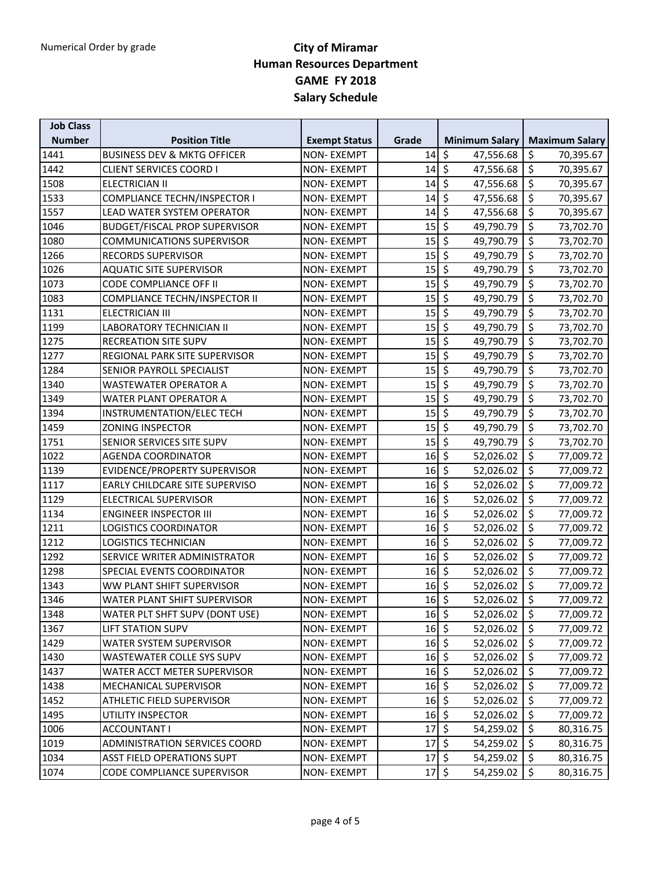| <b>Job Class</b> |                                        |                      |                                       |                                       |                       |
|------------------|----------------------------------------|----------------------|---------------------------------------|---------------------------------------|-----------------------|
| <b>Number</b>    | <b>Position Title</b>                  | <b>Exempt Status</b> | Grade                                 | <b>Minimum Salary</b>                 | <b>Maximum Salary</b> |
| 1441             | <b>BUSINESS DEV &amp; MKTG OFFICER</b> | <b>NON-EXEMPT</b>    | 14                                    | \$<br>47,556.68                       | \$<br>70,395.67       |
| 1442             | <b>CLIENT SERVICES COORD I</b>         | <b>NON-EXEMPT</b>    | 14                                    | $\overline{\varsigma}$<br>47,556.68   | \$<br>70,395.67       |
| 1508             | ELECTRICIAN II                         | <b>NON-EXEMPT</b>    | 14                                    | $\overline{\mathcal{S}}$<br>47,556.68 | \$<br>70,395.67       |
| 1533             | <b>COMPLIANCE TECHN/INSPECTOR I</b>    | <b>NON-EXEMPT</b>    | 14                                    | \$<br>47,556.68                       | \$<br>70,395.67       |
| 1557             | LEAD WATER SYSTEM OPERATOR             | <b>NON-EXEMPT</b>    | 14                                    | $\overline{\xi}$<br>47,556.68         | \$<br>70,395.67       |
| 1046             | <b>BUDGET/FISCAL PROP SUPERVISOR</b>   | <b>NON-EXEMPT</b>    | 15                                    | $\overline{\mathcal{S}}$<br>49,790.79 | \$<br>73,702.70       |
| 1080             | <b>COMMUNICATIONS SUPERVISOR</b>       | <b>NON-EXEMPT</b>    | 15                                    | \$<br>49,790.79                       | \$<br>73,702.70       |
| 1266             | RECORDS SUPERVISOR                     | <b>NON-EXEMPT</b>    | 15                                    | $\overline{\mathcal{S}}$<br>49,790.79 | \$<br>73,702.70       |
| 1026             | <b>AQUATIC SITE SUPERVISOR</b>         | <b>NON-EXEMPT</b>    | 15                                    | $\overline{\mathcal{S}}$<br>49,790.79 | \$<br>73,702.70       |
| 1073             | CODE COMPLIANCE OFF II                 | <b>NON-EXEMPT</b>    | 15                                    | $\overline{\varsigma}$<br>49,790.79   | \$<br>73,702.70       |
| 1083             | COMPLIANCE TECHN/INSPECTOR II          | <b>NON-EXEMPT</b>    | 15                                    | $\overline{\xi}$<br>49,790.79         | \$<br>73,702.70       |
| 1131             | <b>ELECTRICIAN III</b>                 | <b>NON-EXEMPT</b>    | 15                                    | $\overline{\mathcal{S}}$<br>49,790.79 | \$<br>73,702.70       |
| 1199             | LABORATORY TECHNICIAN II               | <b>NON-EXEMPT</b>    | 15                                    | $\overline{\xi}$<br>49,790.79         | \$<br>73,702.70       |
| 1275             | <b>RECREATION SITE SUPV</b>            | <b>NON-EXEMPT</b>    | 15                                    | $\overline{\mathcal{S}}$<br>49,790.79 | \$<br>73,702.70       |
| 1277             | REGIONAL PARK SITE SUPERVISOR          | <b>NON-EXEMPT</b>    | 15                                    | \$<br>49,790.79                       | \$<br>73,702.70       |
| 1284             | SENIOR PAYROLL SPECIALIST              | <b>NON-EXEMPT</b>    | 15                                    | $\overline{\xi}$<br>49,790.79         | \$<br>73,702.70       |
| 1340             | <b>WASTEWATER OPERATOR A</b>           | NON- EXEMPT          | 15                                    | \$<br>49,790.79                       | \$<br>73,702.70       |
| 1349             | WATER PLANT OPERATOR A                 | <b>NON-EXEMPT</b>    | 15                                    | \$<br>49,790.79                       | \$<br>73,702.70       |
| 1394             | INSTRUMENTATION/ELEC TECH              | <b>NON-EXEMPT</b>    | 15                                    | $\overline{\mathcal{S}}$<br>49,790.79 | \$<br>73,702.70       |
| 1459             | <b>ZONING INSPECTOR</b>                | <b>NON-EXEMPT</b>    | 15                                    | $\overline{\mathcal{S}}$<br>49,790.79 | \$<br>73,702.70       |
| 1751             | SENIOR SERVICES SITE SUPV              | <b>NON-EXEMPT</b>    | 15                                    | $\overline{\mathcal{S}}$<br>49,790.79 | \$<br>73,702.70       |
| 1022             | AGENDA COORDINATOR                     | <b>NON-EXEMPT</b>    | 16                                    | $\overline{\mathcal{S}}$<br>52,026.02 | \$<br>77,009.72       |
| 1139             | EVIDENCE/PROPERTY SUPERVISOR           | <b>NON-EXEMPT</b>    | 16                                    | \$<br>52,026.02                       | \$<br>77,009.72       |
| 1117             | EARLY CHILDCARE SITE SUPERVISO         | <b>NON-EXEMPT</b>    | 16                                    | $\overline{\mathcal{S}}$<br>52,026.02 | \$<br>77,009.72       |
| 1129             | ELECTRICAL SUPERVISOR                  | <b>NON-EXEMPT</b>    | 16                                    | $\overline{\mathcal{S}}$<br>52,026.02 | \$<br>77,009.72       |
| 1134             | <b>ENGINEER INSPECTOR III</b>          | <b>NON-EXEMPT</b>    | 16                                    | $\overline{\mathcal{S}}$<br>52,026.02 | \$<br>77,009.72       |
| 1211             | <b>LOGISTICS COORDINATOR</b>           | <b>NON-EXEMPT</b>    | 16                                    | $\overline{\mathcal{S}}$<br>52,026.02 | \$<br>77,009.72       |
| 1212             | <b>LOGISTICS TECHNICIAN</b>            | <b>NON-EXEMPT</b>    | 16                                    | $\overline{\mathcal{S}}$<br>52,026.02 | \$<br>77,009.72       |
| 1292             | SERVICE WRITER ADMINISTRATOR           | <b>NON-EXEMPT</b>    | 16                                    | $\overline{\mathcal{S}}$<br>52,026.02 | \$<br>77,009.72       |
| 1298             | SPECIAL EVENTS COORDINATOR             | <b>NON-EXEMPT</b>    | 16                                    | $\overline{\varsigma}$<br>52,026.02   | \$<br>77,009.72       |
| 1343             | WW PLANT SHIFT SUPERVISOR              | <b>NON-EXEMPT</b>    | $16 \mid \xi$                         | 52,026.02                             | \$<br>77,009.72       |
| 1346             | WATER PLANT SHIFT SUPERVISOR           | <b>NON-EXEMPT</b>    | $16\overline{5}$                      | 52,026.02                             | \$<br>77,009.72       |
| 1348             | WATER PLT SHFT SUPV (DONT USE)         | <b>NON-EXEMPT</b>    | $16 \div$                             | $52,026.02$ \$                        | 77,009.72             |
| 1367             | <b>LIFT STATION SUPV</b>               | <b>NON-EXEMPT</b>    | $16\overline{\smash{\big\vert}}\,$ \$ | 52,026.02                             | $\zeta$<br>77,009.72  |
| 1429             | WATER SYSTEM SUPERVISOR                | <b>NON-EXEMPT</b>    | $16 \mid \xi$                         | 52,026.02                             | \$<br>77,009.72       |
| 1430             | WASTEWATER COLLE SYS SUPV              | <b>NON-EXEMPT</b>    | $16\overline{5}$                      | 52,026.02                             | \$<br>77,009.72       |
| 1437             | WATER ACCT METER SUPERVISOR            | NON-EXEMPT           | $16\overline{\smash{5}}$              | 52,026.02                             | \$<br>77,009.72       |
| 1438             | MECHANICAL SUPERVISOR                  | <b>NON-EXEMPT</b>    | $16\overline{\smash{5}}$              | 52,026.02                             | \$<br>77,009.72       |
| 1452             | ATHLETIC FIELD SUPERVISOR              | <b>NON-EXEMPT</b>    | $16\overline{5}$                      | 52,026.02                             | $\zeta$<br>77,009.72  |
| 1495             | UTILITY INSPECTOR                      | NON-EXEMPT           | $16\overline{\smash{\big\vert}}\,$ \$ | 52,026.02                             | \$<br>77,009.72       |
| 1006             | <b>ACCOUNTANT I</b>                    | <b>NON-EXEMPT</b>    | 17                                    | $\overline{\mathcal{S}}$<br>54,259.02 | $\zeta$<br>80,316.75  |
| 1019             | ADMINISTRATION SERVICES COORD          | <b>NON-EXEMPT</b>    | $17\frac{1}{5}$                       | 54,259.02                             | \$<br>80,316.75       |
| 1034             | <b>ASST FIELD OPERATIONS SUPT</b>      | <b>NON-EXEMPT</b>    | 17                                    | $\overline{\mathcal{S}}$<br>54,259.02 | \$<br>80,316.75       |
| 1074             | CODE COMPLIANCE SUPERVISOR             | <b>NON-EXEMPT</b>    | $17\overline{\smash{5}}$              | 54,259.02                             | 80,316.75<br>\$       |